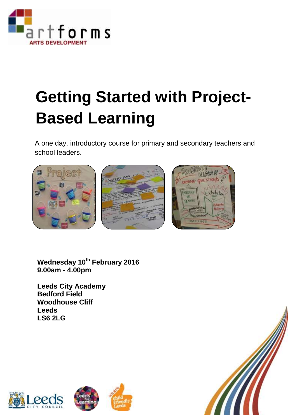

## **Getting Started with Project-Based Learning**

A one day, introductory course for primary and secondary teachers and school leaders.



**Wednesday 10th February 2016 9.00am - 4.00pm**

**Leeds City Academy Bedford Field Woodhouse Cliff Leeds LS6 2LG**